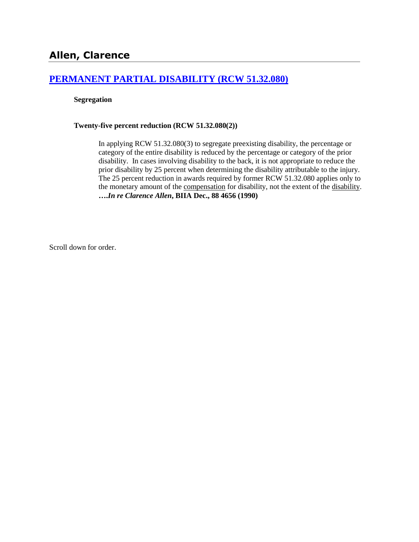### **[PERMANENT PARTIAL DISABILITY \(RCW 51.32.080\)](http://www.biia.wa.gov/SDSubjectIndex.html#PERMANENT_PARTIAL_DISABILITY)**

### **Segregation**

### **Twenty-five percent reduction (RCW 51.32.080(2))**

In applying RCW 51.32.080(3) to segregate preexisting disability, the percentage or category of the entire disability is reduced by the percentage or category of the prior disability. In cases involving disability to the back, it is not appropriate to reduce the prior disability by 25 percent when determining the disability attributable to the injury. The 25 percent reduction in awards required by former RCW 51.32.080 applies only to the monetary amount of the compensation for disability, not the extent of the disability. **….***In re Clarence Allen***, BIIA Dec., 88 4656 (1990)** 

Scroll down for order.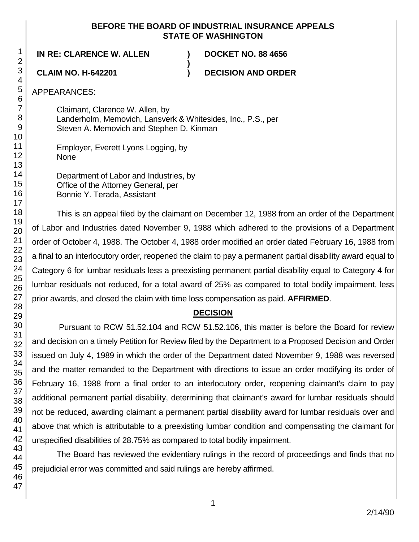### **BEFORE THE BOARD OF INDUSTRIAL INSURANCE APPEALS STATE OF WASHINGTON**

**)**

**IN RE: CLARENCE W. ALLEN ) DOCKET NO. 88 4656**

**CLAIM NO. H-642201 ) DECISION AND ORDER**

APPEARANCES:

Claimant, Clarence W. Allen, by Landerholm, Memovich, Lansverk & Whitesides, Inc., P.S., per Steven A. Memovich and Stephen D. Kinman

Employer, Everett Lyons Logging, by None

Department of Labor and Industries, by Office of the Attorney General, per Bonnie Y. Terada, Assistant

This is an appeal filed by the claimant on December 12, 1988 from an order of the Department of Labor and Industries dated November 9, 1988 which adhered to the provisions of a Department order of October 4, 1988. The October 4, 1988 order modified an order dated February 16, 1988 from a final to an interlocutory order, reopened the claim to pay a permanent partial disability award equal to Category 6 for lumbar residuals less a preexisting permanent partial disability equal to Category 4 for lumbar residuals not reduced, for a total award of 25% as compared to total bodily impairment, less prior awards, and closed the claim with time loss compensation as paid. **AFFIRMED**.

# **DECISION**

Pursuant to RCW 51.52.104 and RCW 51.52.106, this matter is before the Board for review and decision on a timely Petition for Review filed by the Department to a Proposed Decision and Order issued on July 4, 1989 in which the order of the Department dated November 9, 1988 was reversed and the matter remanded to the Department with directions to issue an order modifying its order of February 16, 1988 from a final order to an interlocutory order, reopening claimant's claim to pay additional permanent partial disability, determining that claimant's award for lumbar residuals should not be reduced, awarding claimant a permanent partial disability award for lumbar residuals over and above that which is attributable to a preexisting lumbar condition and compensating the claimant for unspecified disabilities of 28.75% as compared to total bodily impairment.

The Board has reviewed the evidentiary rulings in the record of proceedings and finds that no prejudicial error was committed and said rulings are hereby affirmed.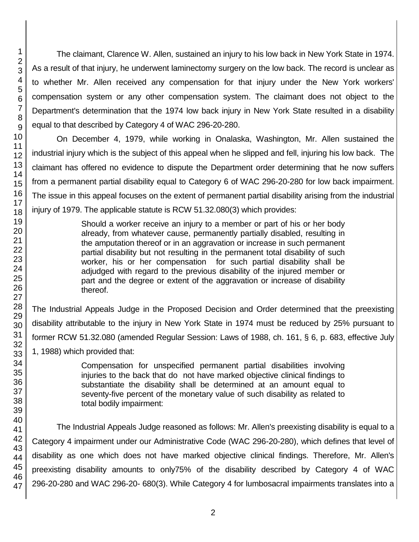The claimant, Clarence W. Allen, sustained an injury to his low back in New York State in 1974. As a result of that injury, he underwent laminectomy surgery on the low back. The record is unclear as to whether Mr. Allen received any compensation for that injury under the New York workers' compensation system or any other compensation system. The claimant does not object to the Department's determination that the 1974 low back injury in New York State resulted in a disability equal to that described by Category 4 of WAC 296-20-280.

On December 4, 1979, while working in Onalaska, Washington, Mr. Allen sustained the industrial injury which is the subject of this appeal when he slipped and fell, injuring his low back. The claimant has offered no evidence to dispute the Department order determining that he now suffers from a permanent partial disability equal to Category 6 of WAC 296-20-280 for low back impairment. The issue in this appeal focuses on the extent of permanent partial disability arising from the industrial injury of 1979. The applicable statute is RCW 51.32.080(3) which provides:

> Should a worker receive an injury to a member or part of his or her body already, from whatever cause, permanently partially disabled, resulting in the amputation thereof or in an aggravation or increase in such permanent partial disability but not resulting in the permanent total disability of such worker, his or her compensation for such partial disability shall be adjudged with regard to the previous disability of the injured member or part and the degree or extent of the aggravation or increase of disability thereof.

The Industrial Appeals Judge in the Proposed Decision and Order determined that the preexisting disability attributable to the injury in New York State in 1974 must be reduced by 25% pursuant to former RCW 51.32.080 (amended Regular Session: Laws of 1988, ch. 161, § 6, p. 683, effective July 1, 1988) which provided that:

> Compensation for unspecified permanent partial disabilities involving injuries to the back that do not have marked objective clinical findings to substantiate the disability shall be determined at an amount equal to seventy-five percent of the monetary value of such disability as related to total bodily impairment:

The Industrial Appeals Judge reasoned as follows: Mr. Allen's preexisting disability is equal to a Category 4 impairment under our Administrative Code (WAC 296-20-280), which defines that level of disability as one which does not have marked objective clinical findings. Therefore, Mr. Allen's preexisting disability amounts to only75% of the disability described by Category 4 of WAC 296-20-280 and WAC 296-20- 680(3). While Category 4 for lumbosacral impairments translates into a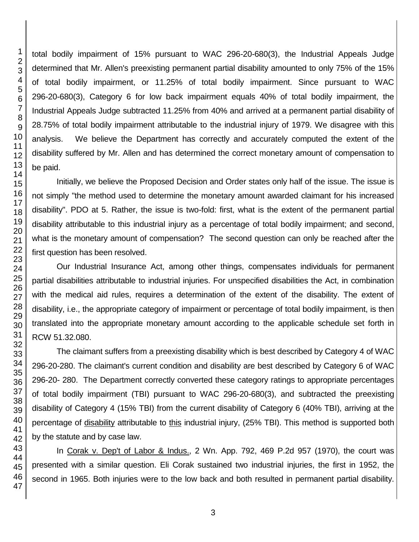total bodily impairment of 15% pursuant to WAC 296-20-680(3), the Industrial Appeals Judge determined that Mr. Allen's preexisting permanent partial disability amounted to only 75% of the 15% of total bodily impairment, or 11.25% of total bodily impairment. Since pursuant to WAC 296-20-680(3), Category 6 for low back impairment equals 40% of total bodily impairment, the Industrial Appeals Judge subtracted 11.25% from 40% and arrived at a permanent partial disability of 28.75% of total bodily impairment attributable to the industrial injury of 1979. We disagree with this analysis. We believe the Department has correctly and accurately computed the extent of the disability suffered by Mr. Allen and has determined the correct monetary amount of compensation to be paid.

Initially, we believe the Proposed Decision and Order states only half of the issue. The issue is not simply "the method used to determine the monetary amount awarded claimant for his increased disability". PDO at 5. Rather, the issue is two-fold: first, what is the extent of the permanent partial disability attributable to this industrial injury as a percentage of total bodily impairment; and second, what is the monetary amount of compensation? The second question can only be reached after the first question has been resolved.

Our Industrial Insurance Act, among other things, compensates individuals for permanent partial disabilities attributable to industrial injuries. For unspecified disabilities the Act, in combination with the medical aid rules, requires a determination of the extent of the disability. The extent of disability, i.e., the appropriate category of impairment or percentage of total bodily impairment, is then translated into the appropriate monetary amount according to the applicable schedule set forth in RCW 51.32.080.

The claimant suffers from a preexisting disability which is best described by Category 4 of WAC 296-20-280. The claimant's current condition and disability are best described by Category 6 of WAC 296-20- 280. The Department correctly converted these category ratings to appropriate percentages of total bodily impairment (TBI) pursuant to WAC 296-20-680(3), and subtracted the preexisting disability of Category 4 (15% TBI) from the current disability of Category 6 (40% TBI), arriving at the percentage of disability attributable to this industrial injury, (25% TBI). This method is supported both by the statute and by case law.

In Corak v. Dep't of Labor & Indus., 2 Wn. App. 792, 469 P.2d 957 (1970), the court was presented with a similar question. Eli Corak sustained two industrial injuries, the first in 1952, the second in 1965. Both injuries were to the low back and both resulted in permanent partial disability.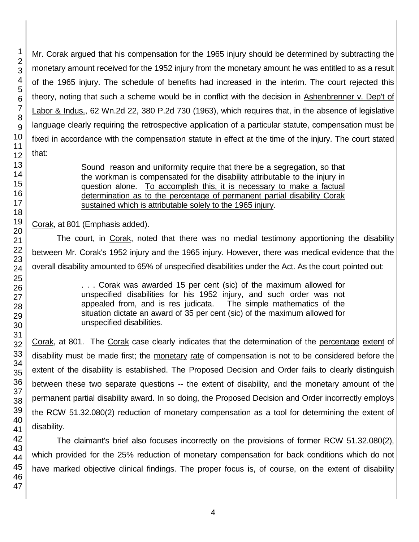Mr. Corak argued that his compensation for the 1965 injury should be determined by subtracting the monetary amount received for the 1952 injury from the monetary amount he was entitled to as a result of the 1965 injury. The schedule of benefits had increased in the interim. The court rejected this theory, noting that such a scheme would be in conflict with the decision in Ashenbrenner v. Dep't of Labor & Indus., 62 Wn.2d 22, 380 P.2d 730 (1963), which requires that, in the absence of legislative language clearly requiring the retrospective application of a particular statute, compensation must be fixed in accordance with the compensation statute in effect at the time of the injury. The court stated that:

> Sound reason and uniformity require that there be a segregation, so that the workman is compensated for the disability attributable to the injury in question alone. To accomplish this, it is necessary to make a factual determination as to the percentage of permanent partial disability Corak sustained which is attributable solely to the 1965 injury.

Corak, at 801 (Emphasis added).

The court, in Corak, noted that there was no medial testimony apportioning the disability between Mr. Corak's 1952 injury and the 1965 injury. However, there was medical evidence that the overall disability amounted to 65% of unspecified disabilities under the Act. As the court pointed out:

> . . . Corak was awarded 15 per cent (sic) of the maximum allowed for unspecified disabilities for his 1952 injury, and such order was not appealed from, and is res judicata. The simple mathematics of the situation dictate an award of 35 per cent (sic) of the maximum allowed for unspecified disabilities.

Corak, at 801. The Corak case clearly indicates that the determination of the percentage extent of disability must be made first; the monetary rate of compensation is not to be considered before the extent of the disability is established. The Proposed Decision and Order fails to clearly distinguish between these two separate questions -- the extent of disability, and the monetary amount of the permanent partial disability award. In so doing, the Proposed Decision and Order incorrectly employs the RCW 51.32.080(2) reduction of monetary compensation as a tool for determining the extent of disability.

The claimant's brief also focuses incorrectly on the provisions of former RCW 51.32.080(2), which provided for the 25% reduction of monetary compensation for back conditions which do not have marked objective clinical findings. The proper focus is, of course, on the extent of disability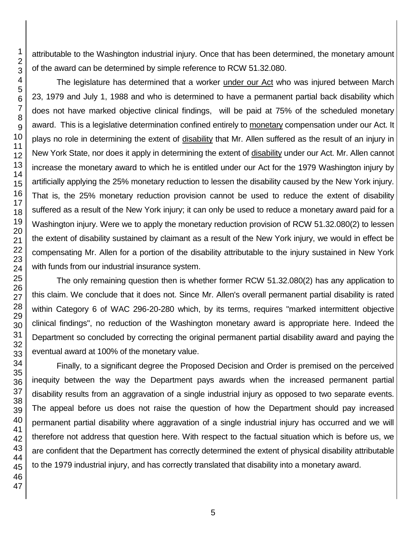attributable to the Washington industrial injury. Once that has been determined, the monetary amount of the award can be determined by simple reference to RCW 51.32.080.

The legislature has determined that a worker under our Act who was injured between March 23, 1979 and July 1, 1988 and who is determined to have a permanent partial back disability which does not have marked objective clinical findings, will be paid at 75% of the scheduled monetary award. This is a legislative determination confined entirely to monetary compensation under our Act. It plays no role in determining the extent of disability that Mr. Allen suffered as the result of an injury in New York State, nor does it apply in determining the extent of disability under our Act. Mr. Allen cannot increase the monetary award to which he is entitled under our Act for the 1979 Washington injury by artificially applying the 25% monetary reduction to lessen the disability caused by the New York injury. That is, the 25% monetary reduction provision cannot be used to reduce the extent of disability suffered as a result of the New York injury; it can only be used to reduce a monetary award paid for a Washington injury. Were we to apply the monetary reduction provision of RCW 51.32.080(2) to lessen the extent of disability sustained by claimant as a result of the New York injury, we would in effect be compensating Mr. Allen for a portion of the disability attributable to the injury sustained in New York with funds from our industrial insurance system.

The only remaining question then is whether former RCW 51.32.080(2) has any application to this claim. We conclude that it does not. Since Mr. Allen's overall permanent partial disability is rated within Category 6 of WAC 296-20-280 which, by its terms, requires "marked intermittent objective clinical findings", no reduction of the Washington monetary award is appropriate here. Indeed the Department so concluded by correcting the original permanent partial disability award and paying the eventual award at 100% of the monetary value.

Finally, to a significant degree the Proposed Decision and Order is premised on the perceived inequity between the way the Department pays awards when the increased permanent partial disability results from an aggravation of a single industrial injury as opposed to two separate events. The appeal before us does not raise the question of how the Department should pay increased permanent partial disability where aggravation of a single industrial injury has occurred and we will therefore not address that question here. With respect to the factual situation which is before us, we are confident that the Department has correctly determined the extent of physical disability attributable to the 1979 industrial injury, and has correctly translated that disability into a monetary award.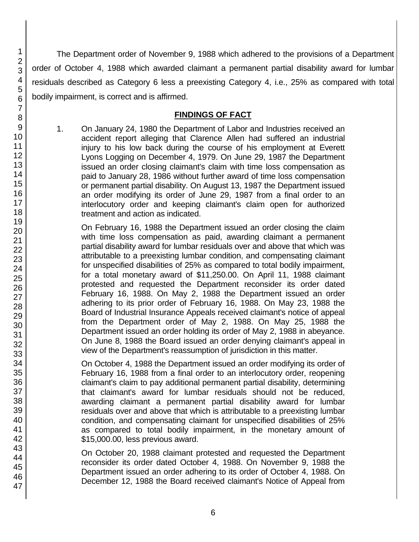The Department order of November 9, 1988 which adhered to the provisions of a Department order of October 4, 1988 which awarded claimant a permanent partial disability award for lumbar residuals described as Category 6 less a preexisting Category 4, i.e., 25% as compared with total bodily impairment, is correct and is affirmed.

## **FINDINGS OF FACT**

1. On January 24, 1980 the Department of Labor and Industries received an accident report alleging that Clarence Allen had suffered an industrial injury to his low back during the course of his employment at Everett Lyons Logging on December 4, 1979. On June 29, 1987 the Department issued an order closing claimant's claim with time loss compensation as paid to January 28, 1986 without further award of time loss compensation or permanent partial disability. On August 13, 1987 the Department issued an order modifying its order of June 29, 1987 from a final order to an interlocutory order and keeping claimant's claim open for authorized treatment and action as indicated.

On February 16, 1988 the Department issued an order closing the claim with time loss compensation as paid, awarding claimant a permanent partial disability award for lumbar residuals over and above that which was attributable to a preexisting lumbar condition, and compensating claimant for unspecified disabilities of 25% as compared to total bodily impairment, for a total monetary award of \$11,250.00. On April 11, 1988 claimant protested and requested the Department reconsider its order dated February 16, 1988. On May 2, 1988 the Department issued an order adhering to its prior order of February 16, 1988. On May 23, 1988 the Board of Industrial Insurance Appeals received claimant's notice of appeal from the Department order of May 2, 1988. On May 25, 1988 the Department issued an order holding its order of May 2, 1988 in abeyance. On June 8, 1988 the Board issued an order denying claimant's appeal in view of the Department's reassumption of jurisdiction in this matter.

On October 4, 1988 the Department issued an order modifying its order of February 16, 1988 from a final order to an interlocutory order, reopening claimant's claim to pay additional permanent partial disability, determining that claimant's award for lumbar residuals should not be reduced, awarding claimant a permanent partial disability award for lumbar residuals over and above that which is attributable to a preexisting lumbar condition, and compensating claimant for unspecified disabilities of 25% as compared to total bodily impairment, in the monetary amount of \$15,000.00, less previous award.

On October 20, 1988 claimant protested and requested the Department reconsider its order dated October 4, 1988. On November 9, 1988 the Department issued an order adhering to its order of October 4, 1988. On December 12, 1988 the Board received claimant's Notice of Appeal from

1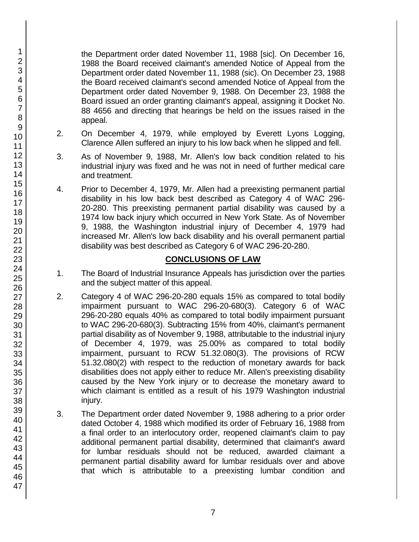the Department order dated November 11, 1988 [sic]. On December 16, 1988 the Board received claimant's amended Notice of Appeal from the Department order dated November 11, 1988 (sic). On December 23, 1988 the Board received claimant's second amended Notice of Appeal from the Department order dated November 9, 1988. On December 23, 1988 the Board issued an order granting claimant's appeal, assigning it Docket No. 88 4656 and directing that hearings be held on the issues raised in the appeal.

- 2. On December 4, 1979, while employed by Everett Lyons Logging, Clarence Allen suffered an injury to his low back when he slipped and fell.
- 3. As of November 9, 1988, Mr. Allen's low back condition related to his industrial injury was fixed and he was not in need of further medical care and treatment.
- 4. Prior to December 4, 1979, Mr. Allen had a preexisting permanent partial disability in his low back best described as Category 4 of WAC 296- 20-280. This preexisting permanent partial disability was caused by a 1974 low back injury which occurred in New York State. As of November 9, 1988, the Washington industrial injury of December 4, 1979 had increased Mr. Allen's low back disability and his overall permanent partial disability was best described as Category 6 of WAC 296-20-280.

## **CONCLUSIONS OF LAW**

- 1. The Board of Industrial Insurance Appeals has jurisdiction over the parties and the subject matter of this appeal.
- 2. Category 4 of WAC 296-20-280 equals 15% as compared to total bodily impairment pursuant to WAC 296-20-680(3). Category 6 of WAC 296-20-280 equals 40% as compared to total bodily impairment pursuant to WAC 296-20-680(3). Subtracting 15% from 40%, claimant's permanent partial disability as of November 9, 1988, attributable to the industrial injury of December 4, 1979, was 25.00% as compared to total bodily impairment, pursuant to RCW 51.32.080(3). The provisions of RCW 51.32.080(2) with respect to the reduction of monetary awards for back disabilities does not apply either to reduce Mr. Allen's preexisting disability caused by the New York injury or to decrease the monetary award to which claimant is entitled as a result of his 1979 Washington industrial injury.
- 3. The Department order dated November 9, 1988 adhering to a prior order dated October 4, 1988 which modified its order of February 16, 1988 from a final order to an interlocutory order, reopened claimant's claim to pay additional permanent partial disability, determined that claimant's award for lumbar residuals should not be reduced, awarded claimant a permanent partial disability award for lumbar residuals over and above that which is attributable to a preexisting lumbar condition and